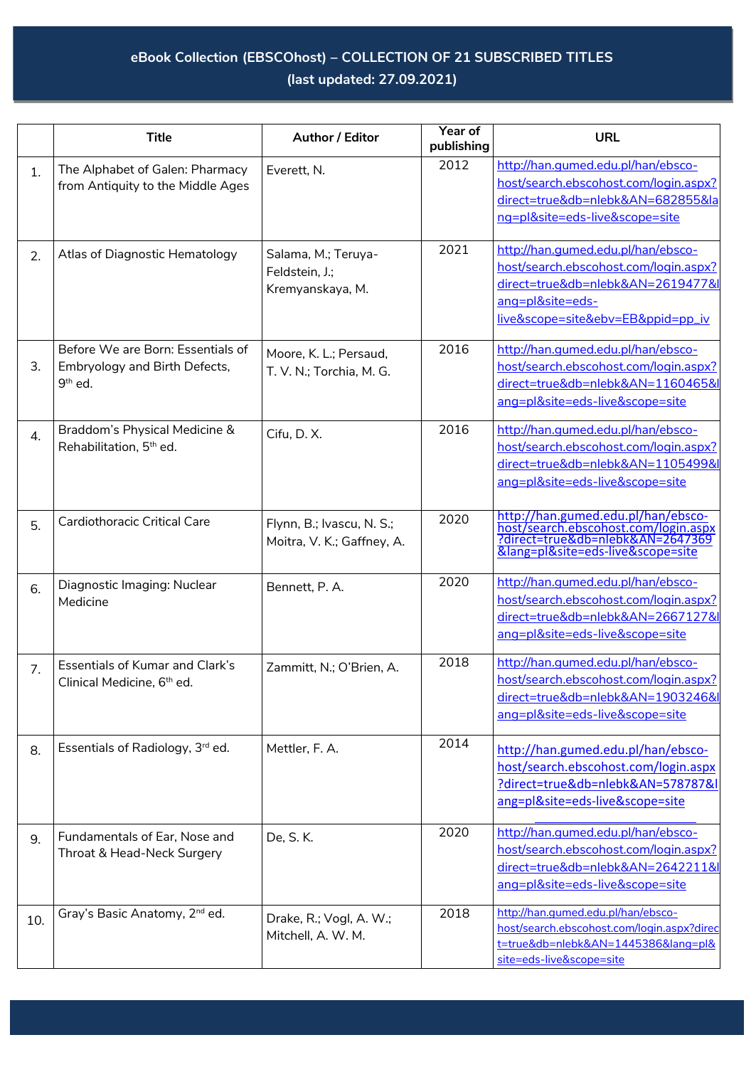## **eBook Collection (EBSCOhost) – COLLECTION OF 21 SUBSCRIBED TITLES (last updated: 27.09.2021)**

|     | <b>Title</b>                                                                     | Author / Editor                                           | Year of<br>publishing | <b>URL</b>                                                                                                                                                                |
|-----|----------------------------------------------------------------------------------|-----------------------------------------------------------|-----------------------|---------------------------------------------------------------------------------------------------------------------------------------------------------------------------|
| 1.  | The Alphabet of Galen: Pharmacy<br>from Antiquity to the Middle Ages             | Everett, N.                                               | 2012                  | http://han.qumed.edu.pl/han/ebsco-<br>host/search.ebscohost.com/login.aspx?<br>direct=true&db=nlebk&AN=682855&la<br>ng=pl&site=eds-live&scope=site                        |
| 2.  | Atlas of Diagnostic Hematology                                                   | Salama, M.; Teruya-<br>Feldstein, J.;<br>Kremyanskaya, M. | 2021                  | http://han.qumed.edu.pl/han/ebsco-<br>host/search.ebscohost.com/login.aspx?<br>direct=true&db=nlebk&AN=2619477&l<br>ang=pl&site=eds-<br>live&scope=site&ebv=EB&ppid=pp_iv |
| 3.  | Before We are Born: Essentials of<br>Embryology and Birth Defects,<br>$9th$ ed.  | Moore, K. L.; Persaud,<br>T. V. N.; Torchia, M. G.        | 2016                  | http://han.qumed.edu.pl/han/ebsco-<br>host/search.ebscohost.com/login.aspx?<br>direct=true&db=nlebk&AN=1160465&l<br>ang=pl&site=eds-live&scope=site                       |
| 4.  | Braddom's Physical Medicine &<br>Rehabilitation, 5 <sup>th</sup> ed.             | Cifu, D.X.                                                | 2016                  | http://han.qumed.edu.pl/han/ebsco-<br>host/search.ebscohost.com/login.aspx?<br>direct=true&db=nlebk&AN=1105499&l<br>ang=pl&site=eds-live&scope=site                       |
| 5.  | <b>Cardiothoracic Critical Care</b>                                              | Flynn, B.; Ivascu, N. S.;<br>Moitra, V. K.; Gaffney, A.   | 2020                  | http://han.gumed.edu.pl/han/ebsco-<br>host/search.ebscohost.com/login.aspx<br>?direct=true&db=nlebk&AN=2647369<br>⟨=pl&site=eds-live&scope=site                           |
| 6.  | Diagnostic Imaging: Nuclear<br>Medicine                                          | Bennett, P. A.                                            | 2020                  | http://han.qumed.edu.pl/han/ebsco-<br>host/search.ebscohost.com/login.aspx?<br>direct=true&db=nlebk&AN=2667127&l<br>ang=pl&site=eds-live&scope=site                       |
| 7.  | <b>Essentials of Kumar and Clark's</b><br>Clinical Medicine, 6 <sup>th</sup> ed. | Zammitt, N.; O'Brien, A.                                  | 2018                  | http://han.qumed.edu.pl/han/ebsco-<br>host/search.ebscohost.com/login.aspx?<br>direct=true&db=nlebk&AN=1903246&I<br>ang=pl&site=eds-live&scope=site                       |
| 8.  | Essentials of Radiology, 3rd ed.                                                 | Mettler, F. A.                                            | 2014                  | http://han.gumed.edu.pl/han/ebsco-<br>host/search.ebscohost.com/login.aspx<br>?direct=true&db=nlebk&AN=578787&I<br>ang=pl&site=eds-live&scope=site                        |
| 9.  | Fundamentals of Ear, Nose and<br>Throat & Head-Neck Surgery                      | De, S. K.                                                 | 2020                  | http://han.qumed.edu.pl/han/ebsco-<br>host/search.ebscohost.com/login.aspx?<br>direct=true&db=nlebk&AN=2642211&l<br>ang=pl&site=eds-live&scope=site                       |
| 10. | Gray's Basic Anatomy, 2 <sup>nd</sup> ed.                                        | Drake, R.; Vogl, A. W.;<br>Mitchell, A. W. M.             | 2018                  | http://han.qumed.edu.pl/han/ebsco-<br>host/search.ebscohost.com/login.aspx?direc<br>t=true&db=nlebk&AN=1445386⟨=pl&<br>site=eds-live&scope=site                           |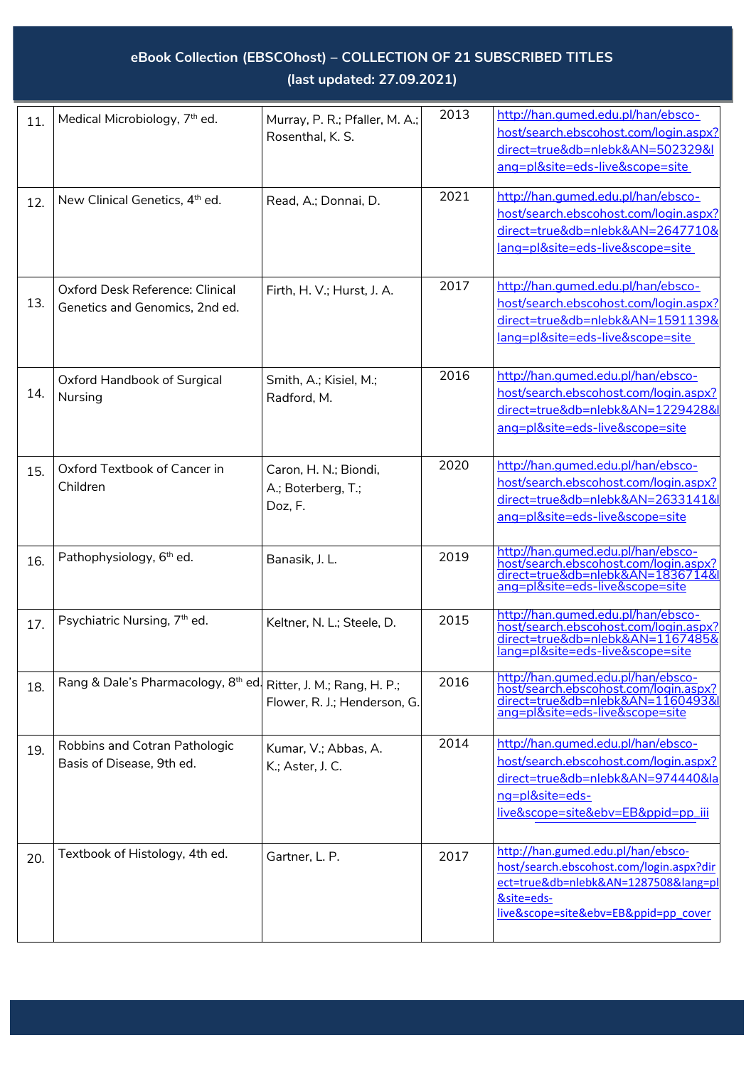## **eBook Collection (EBSCOhost) – COLLECTION OF 21 SUBSCRIBED TITLES (last updated: 27.09.2021)**

| 11. | Medical Microbiology, 7 <sup>th</sup> ed.                                  | Murray, P. R.; Pfaller, M. A.;<br>Rosenthal, K. S.     | 2013 | http://han.qumed.edu.pl/han/ebsco-<br>host/search.ebscohost.com/login.aspx?<br>direct=true&db=nlebk&AN=502329&I<br>ang=pl&site=eds-live&scope=site                        |
|-----|----------------------------------------------------------------------------|--------------------------------------------------------|------|---------------------------------------------------------------------------------------------------------------------------------------------------------------------------|
| 12. | New Clinical Genetics, 4 <sup>th</sup> ed.                                 | Read, A.; Donnai, D.                                   | 2021 | http://han.qumed.edu.pl/han/ebsco-<br>host/search.ebscohost.com/login.aspx?<br>direct=true&db=nlebk&AN=2647710&<br>lang=pl&site=eds-live&scope=site                       |
| 13. | Oxford Desk Reference: Clinical<br>Genetics and Genomics, 2nd ed.          | Firth, H. V.; Hurst, J. A.                             | 2017 | http://han.qumed.edu.pl/han/ebsco-<br>host/search.ebscohost.com/login.aspx?<br>direct=true&db=nlebk&AN=1591139&<br>lang=pl&site=eds-live&scope=site                       |
| 14. | Oxford Handbook of Surgical<br>Nursing                                     | Smith, A.; Kisiel, M.;<br>Radford, M.                  | 2016 | http://han.qumed.edu.pl/han/ebsco-<br>host/search.ebscohost.com/login.aspx?<br>direct=true&db=nlebk&AN=1229428&l<br>ang=pl&site=eds-live&scope=site                       |
| 15. | Oxford Textbook of Cancer in<br>Children                                   | Caron, H. N.; Biondi,<br>A.; Boterberg, T.;<br>Doz, F. | 2020 | http://han.qumed.edu.pl/han/ebsco-<br>host/search.ebscohost.com/login.aspx?<br>direct=true&db=nlebk&AN=2633141&l<br>ang=pl&site=eds-live&scope=site                       |
| 16. | Pathophysiology, 6 <sup>th</sup> ed.                                       | Banasik, J. L.                                         | 2019 | http://han.qumed.edu.pl/han/ebsco-<br>host/search.ebscohost.com/login.aspx?<br>direct=true&db=nlebk&AN=1836714&<br>ang=pl&site=eds-live&scope=site                        |
| 17. | Psychiatric Nursing, 7th ed.                                               | Keltner, N. L.; Steele, D.                             | 2015 | http://han.qumed.edu.pl/han/ebsco-<br>host/search.ebscohost.com/login.aspx?<br>direct=true&db=nlebk&AN=1167485&<br>lang=pl&site=eds-live&scope=site                       |
| 18. | Rang & Dale's Pharmacology, 8 <sup>th</sup> ed Ritter, J. M.; Rang, H. P.; | Flower, R. J.; Henderson, G.                           | 2016 | http://han.qumed.edu.pl/han/ebsco-<br>host/search.ebscohost.com/login.aspx?<br>direct=true&db=nlebk&AN=1160493&l<br>ang=pl&site=eds-live&scope=site                       |
| 19. | Robbins and Cotran Pathologic<br>Basis of Disease, 9th ed.                 | Kumar, V.; Abbas, A.<br>K.; Aster, J. C.               | 2014 | http://han.qumed.edu.pl/han/ebsco-<br>host/search.ebscohost.com/login.aspx?<br>direct=true&db=nlebk&AN=974440&la<br>ng=pl&site=eds-<br>live&scope=site&ebv=EB&ppid=pp_iii |
| 20. | Textbook of Histology, 4th ed.                                             | Gartner, L. P.                                         | 2017 | http://han.gumed.edu.pl/han/ebsco-<br>host/search.ebscohost.com/login.aspx?dir<br>ect=true&db=nlebk&AN=1287508⟨=pl<br>&site=eds-<br>live&scope=site&ebv=EB&ppid=pp cover  |